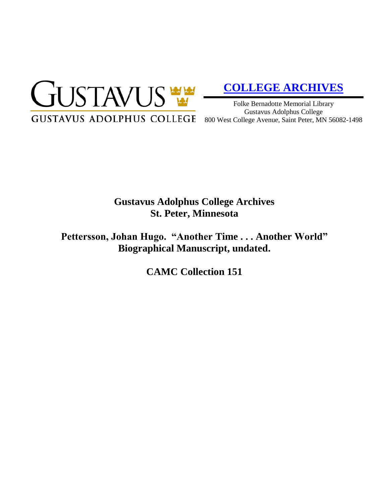

# **[COLLEGE ARCHIVES](http://gustavus.edu/academics/library/archives/)**

Folke Bernadotte Memorial Library Gustavus Adolphus College

## **Gustavus Adolphus College Archives St. Peter, Minnesota**

**Pettersson, Johan Hugo. "Another Time . . . Another World" Biographical Manuscript, undated.**

**CAMC Collection 151**